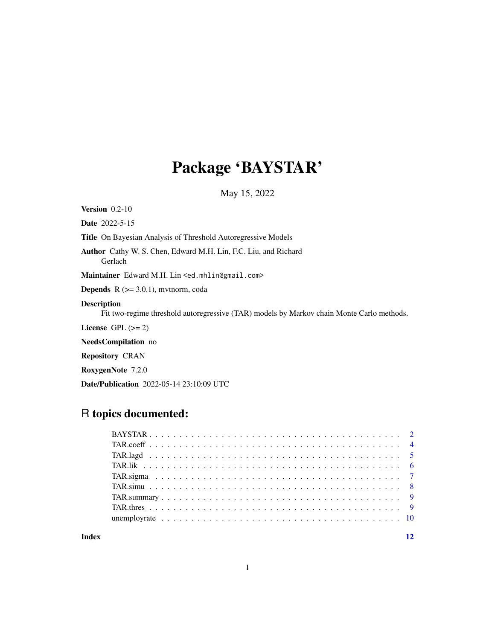## Package 'BAYSTAR'

May 15, 2022

Version 0.2-10

Date 2022-5-15

Title On Bayesian Analysis of Threshold Autoregressive Models

Author Cathy W. S. Chen, Edward M.H. Lin, F.C. Liu, and Richard Gerlach

Maintainer Edward M.H. Lin <ed.mhlin@gmail.com>

**Depends**  $R$  ( $>= 3.0.1$ ), mytnorm, coda

#### Description

Fit two-regime threshold autoregressive (TAR) models by Markov chain Monte Carlo methods.

License  $GPL (= 2)$ 

NeedsCompilation no

Repository CRAN

RoxygenNote 7.2.0

Date/Publication 2022-05-14 23:10:09 UTC

### R topics documented:

**Index** [12](#page-11-0)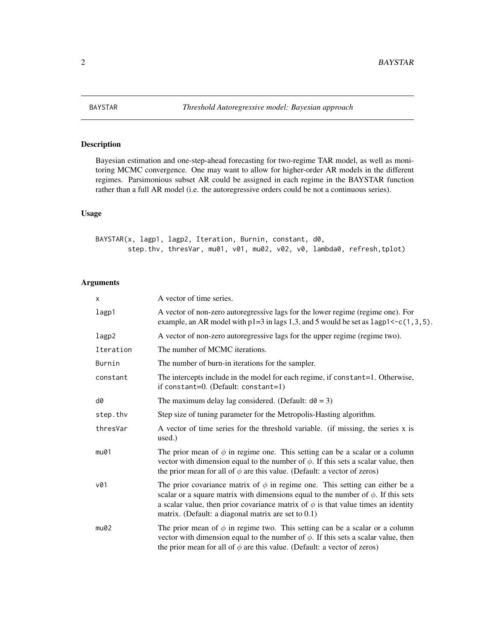<span id="page-1-0"></span>

#### Description

Bayesian estimation and one-step-ahead forecasting for two-regime TAR model, as well as monitoring MCMC convergence. One may want to allow for higher-order AR models in the different regimes. Parsimonious subset AR could be assigned in each regime in the BAYSTAR function rather than a full AR model (i.e. the autoregressive orders could be not a continuous series).

#### Usage

BAYSTAR(x, lagp1, lagp2, Iteration, Burnin, constant, d0, step.thv, thresVar, mu01, v01, mu02, v02, v0, lambda0, refresh,tplot)

| $\times$  | A vector of time series.                                                                                                                                                                                                                                                                                                     |
|-----------|------------------------------------------------------------------------------------------------------------------------------------------------------------------------------------------------------------------------------------------------------------------------------------------------------------------------------|
| lagp1     | A vector of non-zero autoregressive lags for the lower regime (regime one). For<br>example, an AR model with $p1=3$ in lags 1,3, and 5 would be set as $l$ agp1<-c(1,3,5).                                                                                                                                                   |
| lagp2     | A vector of non-zero autoregressive lags for the upper regime (regime two).                                                                                                                                                                                                                                                  |
| Iteration | The number of MCMC iterations.                                                                                                                                                                                                                                                                                               |
| Burnin    | The number of burn-in iterations for the sampler.                                                                                                                                                                                                                                                                            |
| constant  | The intercepts include in the model for each regime, if constant=1. Otherwise,<br>if constant=0. (Default: constant=1)                                                                                                                                                                                                       |
| d0        | The maximum delay lag considered. (Default: $d\theta = 3$ )                                                                                                                                                                                                                                                                  |
| step.thv  | Step size of tuning parameter for the Metropolis-Hasting algorithm.                                                                                                                                                                                                                                                          |
| thresVar  | A vector of time series for the threshold variable. (if missing, the series x is<br>used.)                                                                                                                                                                                                                                   |
| mu01      | The prior mean of $\phi$ in regime one. This setting can be a scalar or a column<br>vector with dimension equal to the number of $\phi$ . If this sets a scalar value, then<br>the prior mean for all of $\phi$ are this value. (Default: a vector of zeros)                                                                 |
| v01       | The prior covariance matrix of $\phi$ in regime one. This setting can either be a<br>scalar or a square matrix with dimensions equal to the number of $\phi$ . If this sets<br>a scalar value, then prior covariance matrix of $\phi$ is that value times an identity<br>matrix. (Default: a diagonal matrix are set to 0.1) |
| mu02      | The prior mean of $\phi$ in regime two. This setting can be a scalar or a column<br>vector with dimension equal to the number of $\phi$ . If this sets a scalar value, then<br>the prior mean for all of $\phi$ are this value. (Default: a vector of zeros)                                                                 |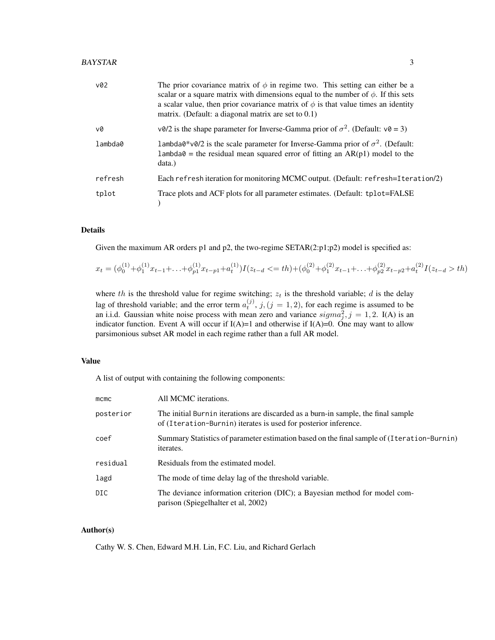| v02     | The prior covariance matrix of $\phi$ in regime two. This setting can either be a<br>scalar or a square matrix with dimensions equal to the number of $\phi$ . If this sets<br>a scalar value, then prior covariance matrix of $\phi$ is that value times an identity<br>matrix. (Default: a diagonal matrix are set to 0.1) |
|---------|------------------------------------------------------------------------------------------------------------------------------------------------------------------------------------------------------------------------------------------------------------------------------------------------------------------------------|
| v0      | $\sqrt{0}/2$ is the shape parameter for Inverse-Gamma prior of $\sigma^2$ . (Default: $\sqrt{0} = 3$ )                                                                                                                                                                                                                       |
| lambda0 | lambda0*v0/2 is the scale parameter for Inverse-Gamma prior of $\sigma^2$ . (Default:<br>$l$ ambda $\theta$ = the residual mean squared error of fitting an AR(p1) model to the<br>data.)                                                                                                                                    |
| refresh | Each refresh iteration for monitoring MCMC output. (Default: refresh=Iteration/2)                                                                                                                                                                                                                                            |
| tplot   | Trace plots and ACF plots for all parameter estimates. (Default: tplot=FALSE                                                                                                                                                                                                                                                 |

#### Details

Given the maximum AR orders p1 and p2, the two-regime  $SETAR(2:p1;p2)$  model is specified as:

$$
x_t = (\phi_0^{(1)} + \phi_1^{(1)}x_{t-1} + \ldots + \phi_{p1}^{(1)}x_{t-p1} + a_t^{(1)})I(z_{t-d} < = th) + (\phi_0^{(2)} + \phi_1^{(2)}x_{t-1} + \ldots + \phi_{p2}^{(2)}x_{t-p2} + a_t^{(2)}I(z_{t-d} > th)
$$

where th is the threshold value for regime switching;  $z_t$  is the threshold variable; d is the delay lag of threshold variable; and the error term  $a_t^{(j)}$ ,  $j$ ,  $(j = 1, 2)$ , for each regime is assumed to be an i.i.d. Gaussian white noise process with mean zero and variance  $sigma_j^2$ ,  $j = 1, 2$ . I(A) is an indicator function. Event A will occur if  $I(A)=1$  and otherwise if  $I(A)=0$ . One may want to allow parsimonious subset AR model in each regime rather than a full AR model.

#### Value

A list of output with containing the following components:

| $m$ cmc    | All MCMC iterations.                                                                                                                                 |
|------------|------------------------------------------------------------------------------------------------------------------------------------------------------|
| posterior  | The initial Burnin iterations are discarded as a burn-in sample, the final sample<br>of (Iteration-Burnin) iterates is used for posterior inference. |
| coef       | Summary Statistics of parameter estimation based on the final sample of (Iteration-Burnin)<br><i>iterates.</i>                                       |
| residual   | Residuals from the estimated model.                                                                                                                  |
| lagd       | The mode of time delay lag of the threshold variable.                                                                                                |
| <b>DIC</b> | The deviance information criterion (DIC); a Bayesian method for model com-<br>parison (Spiegelhalter et al, 2002)                                    |

#### Author(s)

Cathy W. S. Chen, Edward M.H. Lin, F.C. Liu, and Richard Gerlach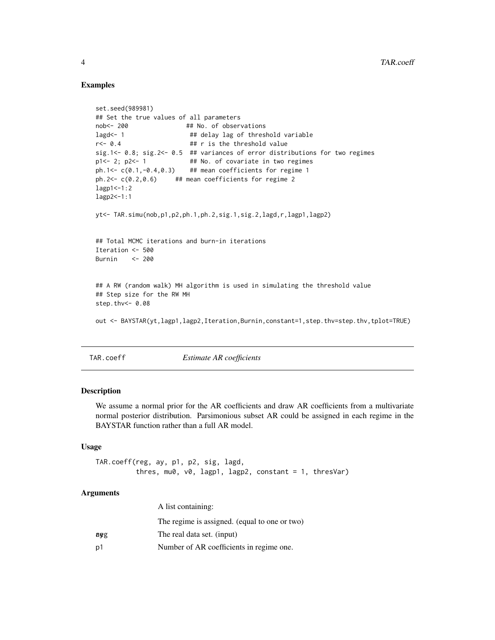#### Examples

```
set.seed(989981)
## Set the true values of all parameters
nob<- 200 ## No. of observations
lagd <- 1 \# delay lag of threshold variable
r <- 0.4 ## r is the threshold value
sig.1<- 0.8; sig.2<- 0.5 ## variances of error distributions for two regimes
p1<-2; p2<-1 ## No. of covariate in two regimes
ph.1<- c(0.1, -0.4, 0.3) ## mean coefficients for regime 1
ph.2\leq c(0.2,0.6) ## mean coefficients for regime 2
lagp1<-1:2lagp2<-1:1
yt<- TAR.simu(nob,p1,p2,ph.1,ph.2,sig.1,sig.2,lagd,r,lagp1,lagp2)
## Total MCMC iterations and burn-in iterations
Iteration <- 500
Burnin <- 200
## A RW (random walk) MH algorithm is used in simulating the threshold value
## Step size for the RW MH
step.thv<- 0.08
out <- BAYSTAR(yt,lagp1,lagp2,Iteration,Burnin,constant=1,step.thv=step.thv,tplot=TRUE)
```
TAR.coeff *Estimate AR coefficients*

#### Description

We assume a normal prior for the AR coefficients and draw AR coefficients from a multivariate normal posterior distribution. Parsimonious subset AR could be assigned in each regime in the BAYSTAR function rather than a full AR model.

#### Usage

```
TAR.coeff(reg, ay, p1, p2, sig, lagd,
          thres, mu0, v0, lagp1, lagp2, constant = 1, thresVar)
```

|     | A list containing:                            |
|-----|-----------------------------------------------|
|     | The regime is assigned. (equal to one or two) |
| aeg | The real data set. (input)                    |
| p1  | Number of AR coefficients in regime one.      |

<span id="page-3-0"></span>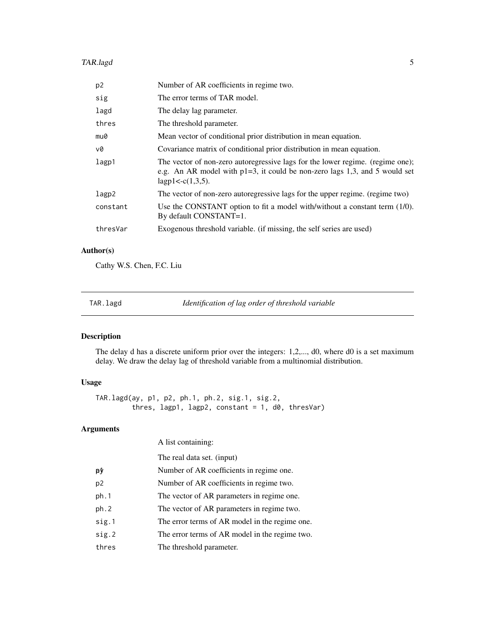#### <span id="page-4-0"></span>TAR.lagd 5

| p <sub>2</sub> | Number of AR coefficients in regime two.                                                                                                                                                 |
|----------------|------------------------------------------------------------------------------------------------------------------------------------------------------------------------------------------|
| sig            | The error terms of TAR model.                                                                                                                                                            |
| lagd           | The delay lag parameter.                                                                                                                                                                 |
| thres          | The threshold parameter.                                                                                                                                                                 |
| mu0            | Mean vector of conditional prior distribution in mean equation.                                                                                                                          |
| v0             | Covariance matrix of conditional prior distribution in mean equation.                                                                                                                    |
| lagp1          | The vector of non-zero autoregressive lags for the lower regime. (regime one);<br>e.g. An AR model with $p1=3$ , it could be non-zero lags 1,3, and 5 would set<br>$lagp1 < -c(1,3,5)$ . |
| lagp2          | The vector of non-zero autoregressive lags for the upper regime. (regime two)                                                                                                            |
| constant       | Use the CONSTANT option to fit a model with/without a constant term (1/0).<br>By default CONSTANT=1.                                                                                     |
| thresVar       | Exogenous threshold variable. (if missing, the self series are used)                                                                                                                     |

#### Author(s)

Cathy W.S. Chen, F.C. Liu

TAR.lagd *Identification of lag order of threshold variable*

#### Description

The delay d has a discrete uniform prior over the integers: 1,2,..., d0, where d0 is a set maximum delay. We draw the delay lag of threshold variable from a multinomial distribution.

#### Usage

TAR.lagd(ay, p1, p2, ph.1, ph.2, sig.1, sig.2, thres,  $lasp1$ ,  $lasp2$ , constant = 1,  $d0$ , thresVar)

|                | A list containing:                             |
|----------------|------------------------------------------------|
|                | The real data set. (input)                     |
| pŷ             | Number of AR coefficients in regime one.       |
| p <sub>2</sub> | Number of AR coefficients in regime two.       |
| ph.1           | The vector of AR parameters in regime one.     |
| ph.2           | The vector of AR parameters in regime two.     |
| sig.1          | The error terms of AR model in the regime one. |
| sig.2          | The error terms of AR model in the regime two. |
| thres          | The threshold parameter.                       |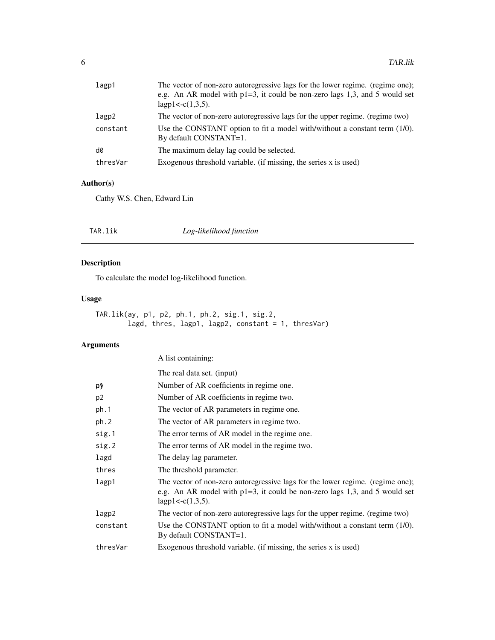<span id="page-5-0"></span>

| lagp1    | The vector of non-zero autoregressive lags for the lower regime. (regime one);<br>e.g. An AR model with $p1=3$ , it could be non-zero lags 1,3, and 5 would set<br>lagp1<- $c(1,3,5)$ . |
|----------|-----------------------------------------------------------------------------------------------------------------------------------------------------------------------------------------|
| lagp2    | The vector of non-zero autoregressive lags for the upper regime. (regime two)                                                                                                           |
| constant | Use the CONSTANT option to fit a model with/without a constant term $(1/0)$ .<br>By default CONSTANT=1.                                                                                 |
| d0       | The maximum delay lag could be selected.                                                                                                                                                |
| thresVar | Exogenous threshold variable. (if missing, the series $x$ is used)                                                                                                                      |

#### Author(s)

Cathy W.S. Chen, Edward Lin

| Log-likelihood function<br>TAR.lik |
|------------------------------------|
|------------------------------------|

#### Description

To calculate the model log-likelihood function.

#### Usage

```
TAR.lik(ay, p1, p2, ph.1, ph.2, sig.1, sig.2,
       lagd, thres, lagp1, lagp2, constant = 1, thresVar)
```

|                | A list containing:                                                                                                                                                                       |
|----------------|------------------------------------------------------------------------------------------------------------------------------------------------------------------------------------------|
|                | The real data set. (input)                                                                                                                                                               |
| рŷ             | Number of AR coefficients in regime one.                                                                                                                                                 |
| p <sub>2</sub> | Number of AR coefficients in regime two.                                                                                                                                                 |
| ph.1           | The vector of AR parameters in regime one.                                                                                                                                               |
| ph.2           | The vector of AR parameters in regime two.                                                                                                                                               |
| sig.1          | The error terms of AR model in the regime one.                                                                                                                                           |
| sig.2          | The error terms of AR model in the regime two.                                                                                                                                           |
| lagd           | The delay lag parameter.                                                                                                                                                                 |
| thres          | The threshold parameter.                                                                                                                                                                 |
| lagp1          | The vector of non-zero autoregressive lags for the lower regime. (regime one);<br>e.g. An AR model with $p1=3$ , it could be non-zero lags 1,3, and 5 would set<br>$lagp1 < -c(1,3,5)$ . |
| lagp2          | The vector of non-zero autoregressive lags for the upper regime. (regime two)                                                                                                            |
| constant       | Use the CONSTANT option to fit a model with/without a constant term $(1/0)$ .<br>By default CONSTANT=1.                                                                                  |
| thresVar       | Exogenous threshold variable. (if missing, the series x is used)                                                                                                                         |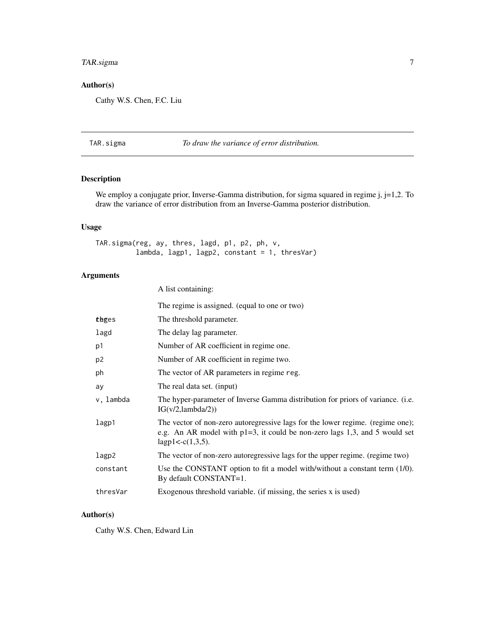#### <span id="page-6-0"></span>TAR.sigma 7

#### Author(s)

Cathy W.S. Chen, F.C. Liu

#### TAR.sigma *To draw the variance of error distribution.*

#### Description

We employ a conjugate prior, Inverse-Gamma distribution, for sigma squared in regime j, j=1,2. To draw the variance of error distribution from an Inverse-Gamma posterior distribution.

#### Usage

TAR.sigma(reg, ay, thres, lagd, p1, p2, ph, v, lambda, lagp1, lagp2, constant = 1, thresVar)

A list containing:

#### Arguments

|           | The regime is assigned. (equal to one or two)                                                                                                                                           |
|-----------|-----------------------------------------------------------------------------------------------------------------------------------------------------------------------------------------|
| tbges     | The threshold parameter.                                                                                                                                                                |
| lagd      | The delay lag parameter.                                                                                                                                                                |
| p1        | Number of AR coefficient in regime one.                                                                                                                                                 |
| p2        | Number of AR coefficient in regime two.                                                                                                                                                 |
| ph        | The vector of AR parameters in regime reg.                                                                                                                                              |
| ay        | The real data set. (input)                                                                                                                                                              |
| v, lambda | The hyper-parameter of Inverse Gamma distribution for priors of variance. (i.e.<br>IG(v/2,lambda/2))                                                                                    |
| lagp1     | The vector of non-zero autoregressive lags for the lower regime. (regime one);<br>e.g. An AR model with $p1=3$ , it could be non-zero lags 1,3, and 5 would set<br>lagp1< $-c(1,3,5)$ . |
| lagp2     | The vector of non-zero autoregressive lags for the upper regime. (regime two)                                                                                                           |
| constant  | Use the CONSTANT option to fit a model with/without a constant term (1/0).<br>By default CONSTANT=1.                                                                                    |
| thresVar  | Exogenous threshold variable. (if missing, the series x is used)                                                                                                                        |
|           |                                                                                                                                                                                         |

#### Author(s)

Cathy W.S. Chen, Edward Lin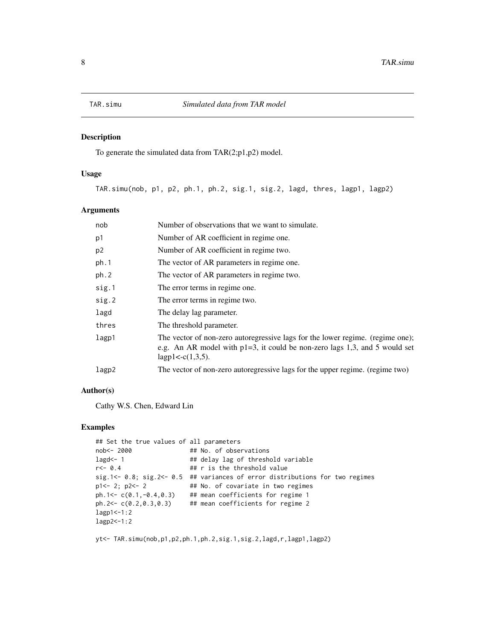<span id="page-7-0"></span>

#### Description

To generate the simulated data from TAR(2;p1,p2) model.

#### Usage

TAR.simu(nob, p1, p2, ph.1, ph.2, sig.1, sig.2, lagd, thres, lagp1, lagp2)

#### Arguments

| nob            | Number of observations that we want to simulate.                                                                                                                                         |
|----------------|------------------------------------------------------------------------------------------------------------------------------------------------------------------------------------------|
| p1             | Number of AR coefficient in regime one.                                                                                                                                                  |
| p <sub>2</sub> | Number of AR coefficient in regime two.                                                                                                                                                  |
| ph.1           | The vector of AR parameters in regime one.                                                                                                                                               |
| ph.2           | The vector of AR parameters in regime two.                                                                                                                                               |
| sig.1          | The error terms in regime one.                                                                                                                                                           |
| sig.2          | The error terms in regime two.                                                                                                                                                           |
| lagd           | The delay lag parameter.                                                                                                                                                                 |
| thres          | The threshold parameter.                                                                                                                                                                 |
| lagp1          | The vector of non-zero autoregressive lags for the lower regime. (regime one);<br>e.g. An AR model with $p1=3$ , it could be non-zero lags 1,3, and 5 would set<br>$lagp1 < -c(1,3,5)$ . |
| lagp2          | The vector of non-zero autoregressive lags for the upper regime. (regime two)                                                                                                            |
|                |                                                                                                                                                                                          |

#### Author(s)

Cathy W.S. Chen, Edward Lin

#### Examples

```
## Set the true values of all parameters
nob<- 2000 ## No. of observations
lagd <- 1 \## delay lag of threshold variable
r<- 0.4 ## r is the threshold value
sig.1<- 0.8; sig.2<- 0.5 ## variances of error distributions for two regimes
p1<- 2; p2<- 2 ## No. of covariate in two regimes
ph.1<- c(0.1,-0.4,0.3) ## mean coefficients for regime 1
ph.2<- c(0.2,0.3,0.3) ## mean coefficients for regime 2
lagp1<-1:2
lagp2<-1:2
```
yt<- TAR.simu(nob,p1,p2,ph.1,ph.2,sig.1,sig.2,lagd,r,lagp1,lagp2)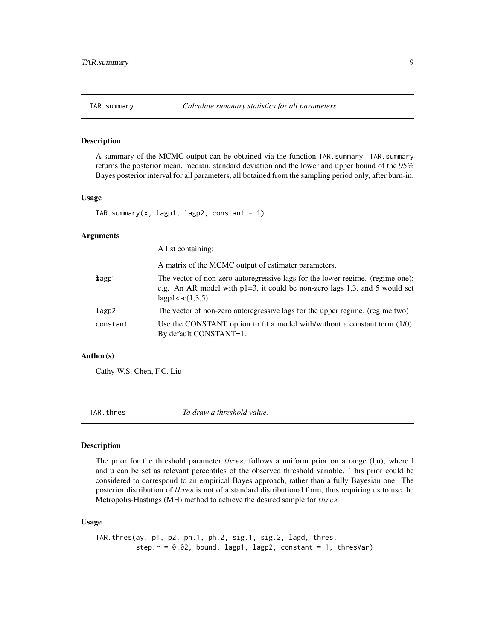<span id="page-8-0"></span>

#### Description

A summary of the MCMC output can be obtained via the function TAR.summary. TAR.summary returns the posterior mean, median, standard deviation and the lower and upper bound of the 95% Bayes posterior interval for all parameters, all botained from the sampling period only, after burn-in.

#### Usage

```
TAR.summary(x, lagp1, lagp2, constant = 1)
```
#### Arguments

|          | A list containing:                                                                                                                                                                       |
|----------|------------------------------------------------------------------------------------------------------------------------------------------------------------------------------------------|
|          | A matrix of the MCMC output of estimater parameters.                                                                                                                                     |
| kagp1    | The vector of non-zero autoregressive lags for the lower regime. (regime one);<br>e.g. An AR model with $p1=3$ , it could be non-zero lags 1,3, and 5 would set<br>$lagp1 < -c(1,3,5)$ . |
| lagp2    | The vector of non-zero autoregressive lags for the upper regime. (regime two)                                                                                                            |
| constant | Use the CONSTANT option to fit a model with/without a constant term $(1/0)$ .<br>By default CONSTANT=1.                                                                                  |

#### Author(s)

Cathy W.S. Chen, F.C. Liu

TAR.thres *To draw a threshold value.*

#### Description

The prior for the threshold parameter *thres*, follows a uniform prior on a range  $(l,u)$ , where l and u can be set as relevant percentiles of the observed threshold variable. This prior could be considered to correspond to an empirical Bayes approach, rather than a fully Bayesian one. The posterior distribution of thres is not of a standard distributional form, thus requiring us to use the Metropolis-Hastings (MH) method to achieve the desired sample for thres.

#### Usage

```
TAR.thres(ay, p1, p2, ph.1, ph.2, sig.1, sig.2, lagd, thres,
          step.r = 0.02, bound, lagp1, lagp2, constant = 1, thresVar)
```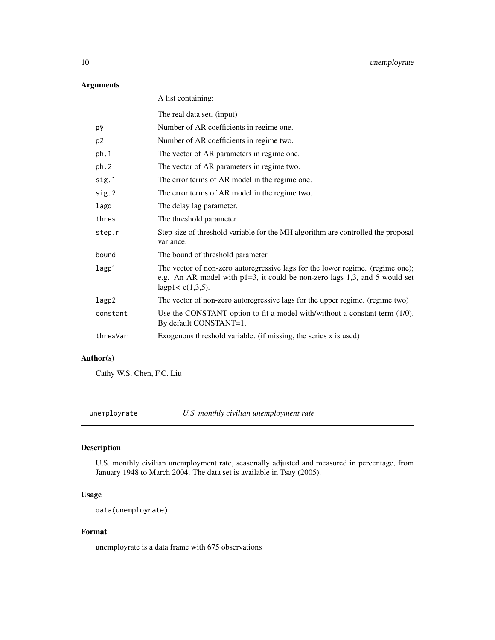#### <span id="page-9-0"></span>Arguments

| A list containing:                                                                                                                                                                      |
|-----------------------------------------------------------------------------------------------------------------------------------------------------------------------------------------|
| The real data set. (input)                                                                                                                                                              |
| Number of AR coefficients in regime one.                                                                                                                                                |
| Number of AR coefficients in regime two.                                                                                                                                                |
| The vector of AR parameters in regime one.                                                                                                                                              |
| The vector of AR parameters in regime two.                                                                                                                                              |
| The error terms of AR model in the regime one.                                                                                                                                          |
| The error terms of AR model in the regime two.                                                                                                                                          |
| The delay lag parameter.                                                                                                                                                                |
| The threshold parameter.                                                                                                                                                                |
| Step size of threshold variable for the MH algorithm are controlled the proposal<br>variance.                                                                                           |
| The bound of threshold parameter.                                                                                                                                                       |
| The vector of non-zero autoregressive lags for the lower regime. (regime one);<br>e.g. An AR model with $p1=3$ , it could be non-zero lags 1,3, and 5 would set<br>lagp1< $-c(1,3,5)$ . |
| The vector of non-zero autoregressive lags for the upper regime. (regime two)                                                                                                           |
| Use the CONSTANT option to fit a model with/without a constant term (1/0).<br>By default CONSTANT=1.                                                                                    |
| Exogenous threshold variable. (if missing, the series x is used)                                                                                                                        |
|                                                                                                                                                                                         |

#### Author(s)

Cathy W.S. Chen, F.C. Liu

unemployrate *U.S. monthly civilian unemployment rate*

#### Description

U.S. monthly civilian unemployment rate, seasonally adjusted and measured in percentage, from January 1948 to March 2004. The data set is available in Tsay (2005).

#### Usage

```
data(unemployrate)
```
#### Format

unemployrate is a data frame with 675 observations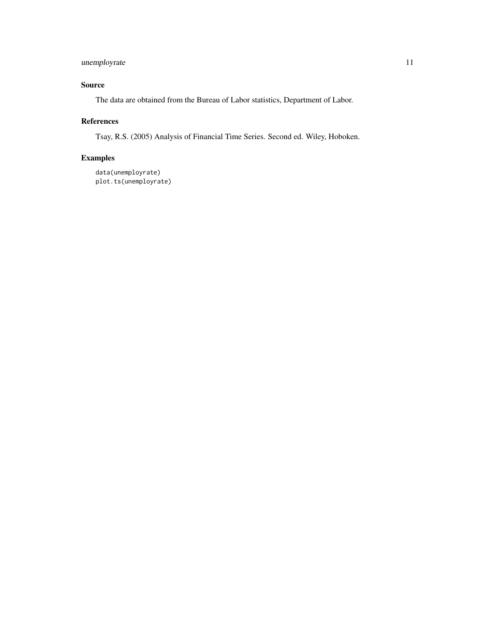#### unemployrate 11

#### Source

The data are obtained from the Bureau of Labor statistics, Department of Labor.

#### References

Tsay, R.S. (2005) Analysis of Financial Time Series. Second ed. Wiley, Hoboken.

#### Examples

data(unemployrate) plot.ts(unemployrate)